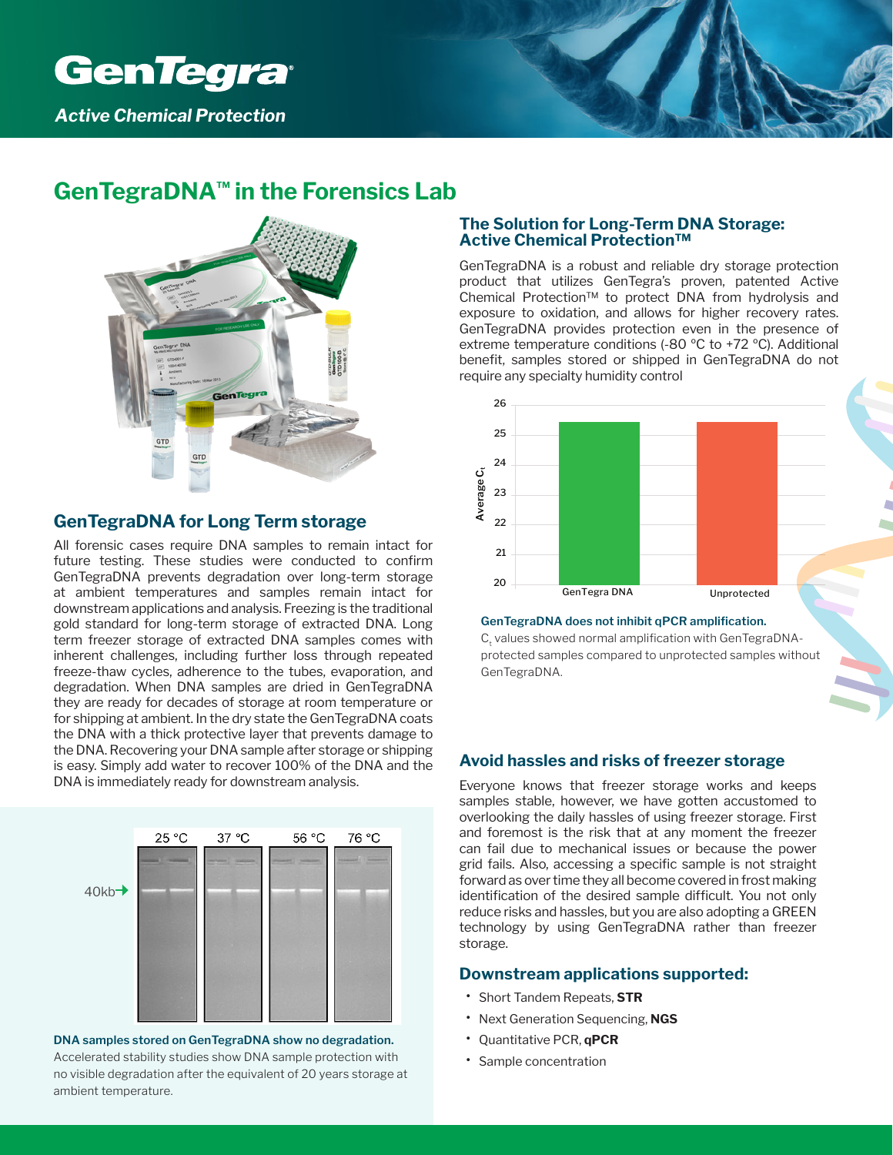

## **GenTegraDNA™ in the Forensics Lab**

### **GenTegraDNA for Long Term storage**

All forensic cases require DNA samples to remain intact for future testing. These studies were conducted to confirm GenTegraDNA prevents degradation over long-term storage at ambient temperatures and samples remain intact for downstream applications and analysis. Freezing is the traditional gold standard for long-term storage of extracted DNA. Long term freezer storage of extracted DNA samples comes with inherent challenges, including further loss through repeated freeze-thaw cycles, adherence to the tubes, evaporation, and degradation. When DNA samples are dried in GenTegraDNA they are ready for decades of storage at room temperature or for shipping at ambient. In the dry state the GenTegraDNA coats the DNA with a thick protective layer that prevents damage to the DNA. Recovering your DNA sample after storage or shipping is easy. Simply add water to recover 100% of the DNA and the DNA is immediately ready for downstream analysis.

# 76 °C  $25 °C$ 37 °C 56 °C  $40kb$



#### **The Solution for Long-Term DNA Storage: Active Chemical Protection™**

GenTegraDNA is a robust and reliable dry storage protection product that utilizes GenTegra's proven, patented Active Chemical Protection™ to protect DNA from hydrolysis and exposure to oxidation, and allows for higher recovery rates. GenTegraDNA provides protection even in the presence of extreme temperature conditions (-80 ºC to +72 ºC). Additional benefit, samples stored or shipped in GenTegraDNA do not require any specialty humidity control



#### **GenTegraDNA does not inhibit qPCR amplification.**

 $\mathsf{C}_\mathsf{t}$  values showed normal amplification with GenTegraDNAprotected samples compared to unprotected samples without GenTegraDNA.

#### **Avoid hassles and risks of freezer storage**

Everyone knows that freezer storage works and keeps samples stable, however, we have gotten accustomed to overlooking the daily hassles of using freezer storage. First and foremost is the risk that at any moment the freezer can fail due to mechanical issues or because the power grid fails. Also, accessing a specific sample is not straight forward as over time they all become covered in frost making identification of the desired sample difficult. You not only reduce risks and hassles, but you are also adopting a GREEN technology by using GenTegraDNA rather than freezer storage.

#### **Downstream applications supported:**

- Short Tandem Repeats, **STR**
- Next Generation Sequencing, **NGS**
- Quantitative PCR, **qPCR**
- Sample concentration